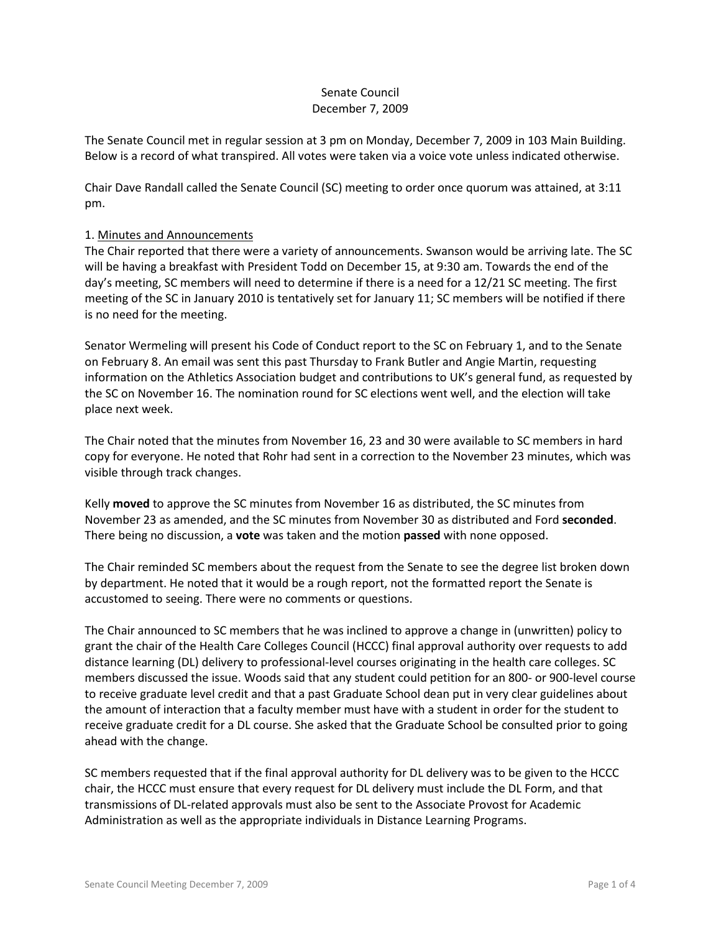# Senate Council December 7, 2009

The Senate Council met in regular session at 3 pm on Monday, December 7, 2009 in 103 Main Building. Below is a record of what transpired. All votes were taken via a voice vote unless indicated otherwise.

Chair Dave Randall called the Senate Council (SC) meeting to order once quorum was attained, at 3:11 pm.

# 1. Minutes and Announcements

The Chair reported that there were a variety of announcements. Swanson would be arriving late. The SC will be having a breakfast with President Todd on December 15, at 9:30 am. Towards the end of the day's meeting, SC members will need to determine if there is a need for a 12/21 SC meeting. The first meeting of the SC in January 2010 is tentatively set for January 11; SC members will be notified if there is no need for the meeting.

Senator Wermeling will present his Code of Conduct report to the SC on February 1, and to the Senate on February 8. An email was sent this past Thursday to Frank Butler and Angie Martin, requesting information on the Athletics Association budget and contributions to UK's general fund, as requested by the SC on November 16. The nomination round for SC elections went well, and the election will take place next week.

The Chair noted that the minutes from November 16, 23 and 30 were available to SC members in hard copy for everyone. He noted that Rohr had sent in a correction to the November 23 minutes, which was visible through track changes.

Kelly **moved** to approve the SC minutes from November 16 as distributed, the SC minutes from November 23 as amended, and the SC minutes from November 30 as distributed and Ford **seconded**. There being no discussion, a **vote** was taken and the motion **passed** with none opposed.

The Chair reminded SC members about the request from the Senate to see the degree list broken down by department. He noted that it would be a rough report, not the formatted report the Senate is accustomed to seeing. There were no comments or questions.

The Chair announced to SC members that he was inclined to approve a change in (unwritten) policy to grant the chair of the Health Care Colleges Council (HCCC) final approval authority over requests to add distance learning (DL) delivery to professional-level courses originating in the health care colleges. SC members discussed the issue. Woods said that any student could petition for an 800- or 900-level course to receive graduate level credit and that a past Graduate School dean put in very clear guidelines about the amount of interaction that a faculty member must have with a student in order for the student to receive graduate credit for a DL course. She asked that the Graduate School be consulted prior to going ahead with the change.

SC members requested that if the final approval authority for DL delivery was to be given to the HCCC chair, the HCCC must ensure that every request for DL delivery must include the DL Form, and that transmissions of DL-related approvals must also be sent to the Associate Provost for Academic Administration as well as the appropriate individuals in Distance Learning Programs.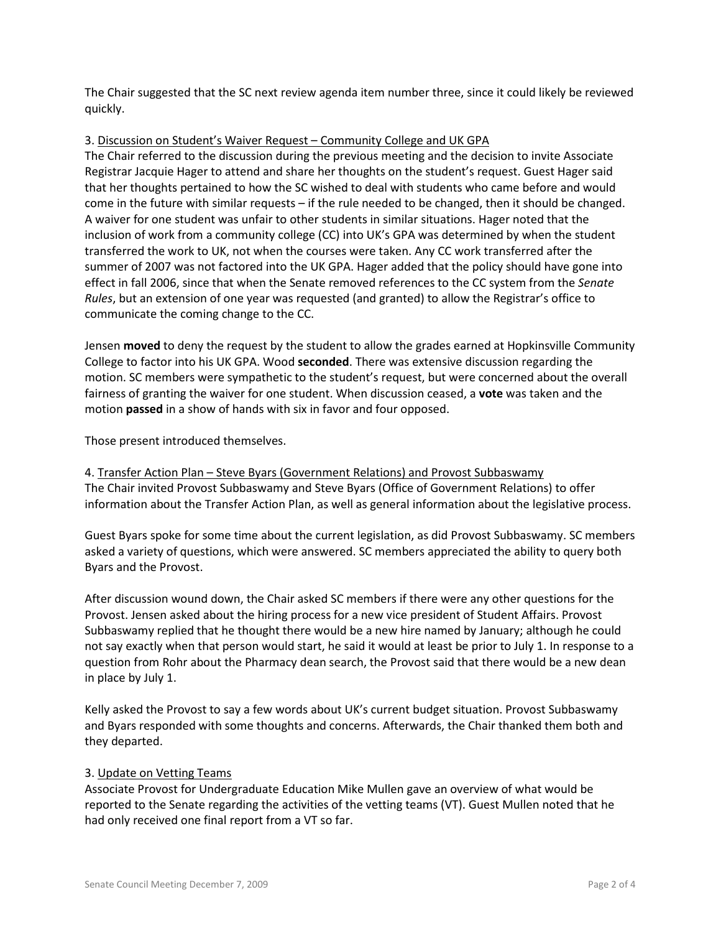The Chair suggested that the SC next review agenda item number three, since it could likely be reviewed quickly.

# 3. Discussion on Student's Waiver Request – Community College and UK GPA

The Chair referred to the discussion during the previous meeting and the decision to invite Associate Registrar Jacquie Hager to attend and share her thoughts on the student's request. Guest Hager said that her thoughts pertained to how the SC wished to deal with students who came before and would come in the future with similar requests – if the rule needed to be changed, then it should be changed. A waiver for one student was unfair to other students in similar situations. Hager noted that the inclusion of work from a community college (CC) into UK's GPA was determined by when the student transferred the work to UK, not when the courses were taken. Any CC work transferred after the summer of 2007 was not factored into the UK GPA. Hager added that the policy should have gone into effect in fall 2006, since that when the Senate removed references to the CC system from the *Senate Rules*, but an extension of one year was requested (and granted) to allow the Registrar's office to communicate the coming change to the CC.

Jensen **moved** to deny the request by the student to allow the grades earned at Hopkinsville Community College to factor into his UK GPA. Wood **seconded**. There was extensive discussion regarding the motion. SC members were sympathetic to the student's request, but were concerned about the overall fairness of granting the waiver for one student. When discussion ceased, a **vote** was taken and the motion **passed** in a show of hands with six in favor and four opposed.

Those present introduced themselves.

4. Transfer Action Plan – Steve Byars (Government Relations) and Provost Subbaswamy The Chair invited Provost Subbaswamy and Steve Byars (Office of Government Relations) to offer information about the Transfer Action Plan, as well as general information about the legislative process.

Guest Byars spoke for some time about the current legislation, as did Provost Subbaswamy. SC members asked a variety of questions, which were answered. SC members appreciated the ability to query both Byars and the Provost.

After discussion wound down, the Chair asked SC members if there were any other questions for the Provost. Jensen asked about the hiring process for a new vice president of Student Affairs. Provost Subbaswamy replied that he thought there would be a new hire named by January; although he could not say exactly when that person would start, he said it would at least be prior to July 1. In response to a question from Rohr about the Pharmacy dean search, the Provost said that there would be a new dean in place by July 1.

Kelly asked the Provost to say a few words about UK's current budget situation. Provost Subbaswamy and Byars responded with some thoughts and concerns. Afterwards, the Chair thanked them both and they departed.

# 3. Update on Vetting Teams

Associate Provost for Undergraduate Education Mike Mullen gave an overview of what would be reported to the Senate regarding the activities of the vetting teams (VT). Guest Mullen noted that he had only received one final report from a VT so far.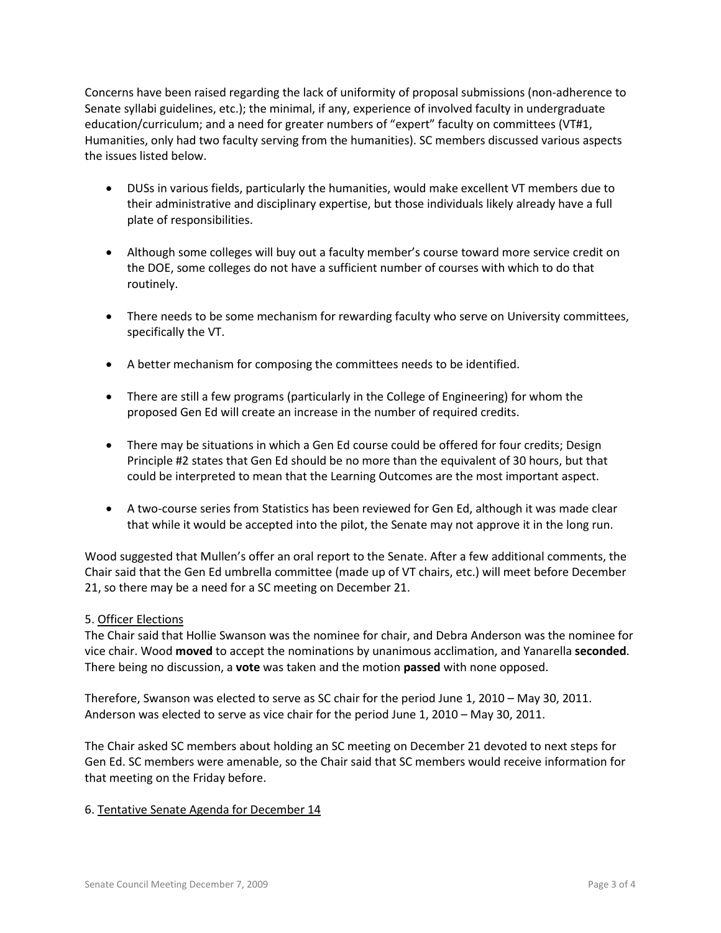Concerns have been raised regarding the lack of uniformity of proposal submissions (non-adherence to Senate syllabi guidelines, etc.); the minimal, if any, experience of involved faculty in undergraduate education/curriculum; and a need for greater numbers of "expert" faculty on committees (VT#1, Humanities, only had two faculty serving from the humanities). SC members discussed various aspects the issues listed below.

- DUSs in various fields, particularly the humanities, would make excellent VT members due to their administrative and disciplinary expertise, but those individuals likely already have a full plate of responsibilities.
- Although some colleges will buy out a faculty member's course toward more service credit on the DOE, some colleges do not have a sufficient number of courses with which to do that routinely.
- There needs to be some mechanism for rewarding faculty who serve on University committees, specifically the VT.
- A better mechanism for composing the committees needs to be identified.
- There are still a few programs (particularly in the College of Engineering) for whom the proposed Gen Ed will create an increase in the number of required credits.
- There may be situations in which a Gen Ed course could be offered for four credits; Design Principle #2 states that Gen Ed should be no more than the equivalent of 30 hours, but that could be interpreted to mean that the Learning Outcomes are the most important aspect.
- A two-course series from Statistics has been reviewed for Gen Ed, although it was made clear that while it would be accepted into the pilot, the Senate may not approve it in the long run.

Wood suggested that Mullen's offer an oral report to the Senate. After a few additional comments, the Chair said that the Gen Ed umbrella committee (made up of VT chairs, etc.) will meet before December 21, so there may be a need for a SC meeting on December 21.

# 5. Officer Elections

The Chair said that Hollie Swanson was the nominee for chair, and Debra Anderson was the nominee for vice chair. Wood **moved** to accept the nominations by unanimous acclimation, and Yanarella **seconded**. There being no discussion, a **vote** was taken and the motion **passed** with none opposed.

Therefore, Swanson was elected to serve as SC chair for the period June 1, 2010 – May 30, 2011. Anderson was elected to serve as vice chair for the period June 1, 2010 – May 30, 2011.

The Chair asked SC members about holding an SC meeting on December 21 devoted to next steps for Gen Ed. SC members were amenable, so the Chair said that SC members would receive information for that meeting on the Friday before.

# 6. Tentative Senate Agenda for December 14